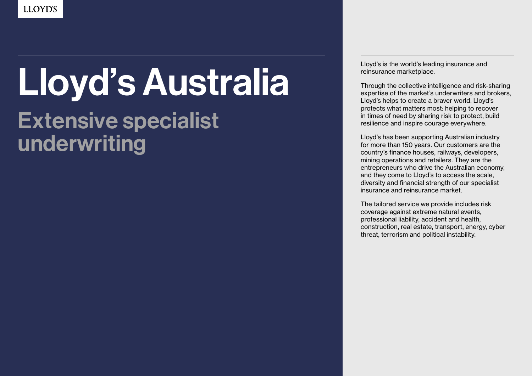## Lloyd's Australia

## Extensive specialist underwriting

Lloyd's is the world's leading insurance and reinsurance marketplace.

Through the collective intelligence and risk-sharing expertise of the market's underwriters and brokers, Lloyd's helps to create a braver world. Lloyd's protects what matters most: helping to recover in times of need by sharing risk to protect, build resilience and inspire courage everywhere.

Lloyd's has been supporting Australian industry for more than 150 years. Our customers are the country's finance houses, railways, developers, mining operations and retailers. They are the entrepreneurs who drive the Australian economy, and they come to Lloyd's to access the scale, diversity and financial strength of our specialist insurance and reinsurance market.

The tailored service we provide includes risk coverage against extreme natural events, professional liability, accident and health, construction, real estate, transport, energy, cyber threat, terrorism and political instability.